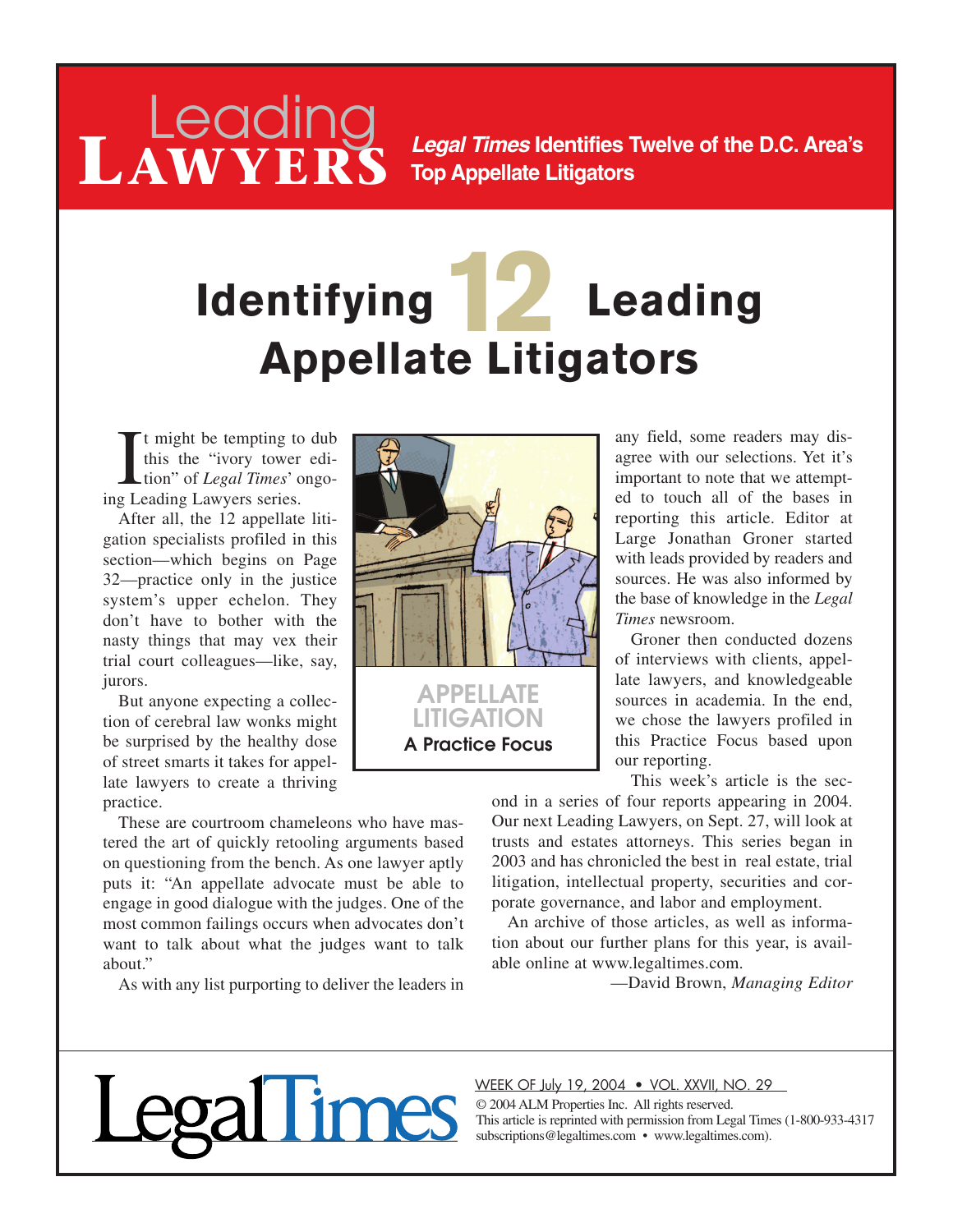### Leading *Legal Times* Identifies Twelve of the D.C. Area's **Top Appellate Litigators**

# **Identifying 12 Leading Appellate Litigators**

It might be tempting to<br>this the "ivory tower<br>tion" of *Legal Times*' c<br>ing Leading Lawyers series. t might be tempting to dub this the "ivory tower edition" of *Legal Times*' ongo-

**LAWYERS**

After all, the 12 appellate litigation specialists profiled in this section—which begins on Page 32—practice only in the justice system's upper echelon. They don't have to bother with the nasty things that may vex their trial court colleagues—like, say, jurors.

But anyone expecting a collection of cerebral law wonks might be surprised by the healthy dose of street smarts it takes for appellate lawyers to create a thriving practice.

These are courtroom chameleons who have mastered the art of quickly retooling arguments based on questioning from the bench. As one lawyer aptly puts it: "An appellate advocate must be able to engage in good dialogue with the judges. One of the most common failings occurs when advocates don't want to talk about what the judges want to talk about."

As with any list purporting to deliver the leaders in



any field, some readers may disagree with our selections. Yet it's important to note that we attempted to touch all of the bases in reporting this article. Editor at Large Jonathan Groner started with leads provided by readers and sources. He was also informed by the base of knowledge in the *Legal Times* newsroom.

Groner then conducted dozens of interviews with clients, appellate lawyers, and knowledgeable sources in academia. In the end, we chose the lawyers profiled in this Practice Focus based upon our reporting.

This week's article is the sec-

ond in a series of four reports appearing in 2004. Our next Leading Lawyers, on Sept. 27, will look at trusts and estates attorneys. This series began in 2003 and has chronicled the best in real estate, trial litigation, intellectual property, securities and corporate governance, and labor and employment.

An archive of those articles, as well as information about our further plans for this year, is available online at www.legaltimes.com.

—David Brown, *Managing Editor*

#### WEEK OF July 19, 2004 • VOL. XXVII, NO. 29

© 2004 ALM Properties Inc. All rights reserved. This article is reprinted with permission from Legal Times (1-800-933-4317 subscriptions@legaltimes.com • www.legaltimes.com).